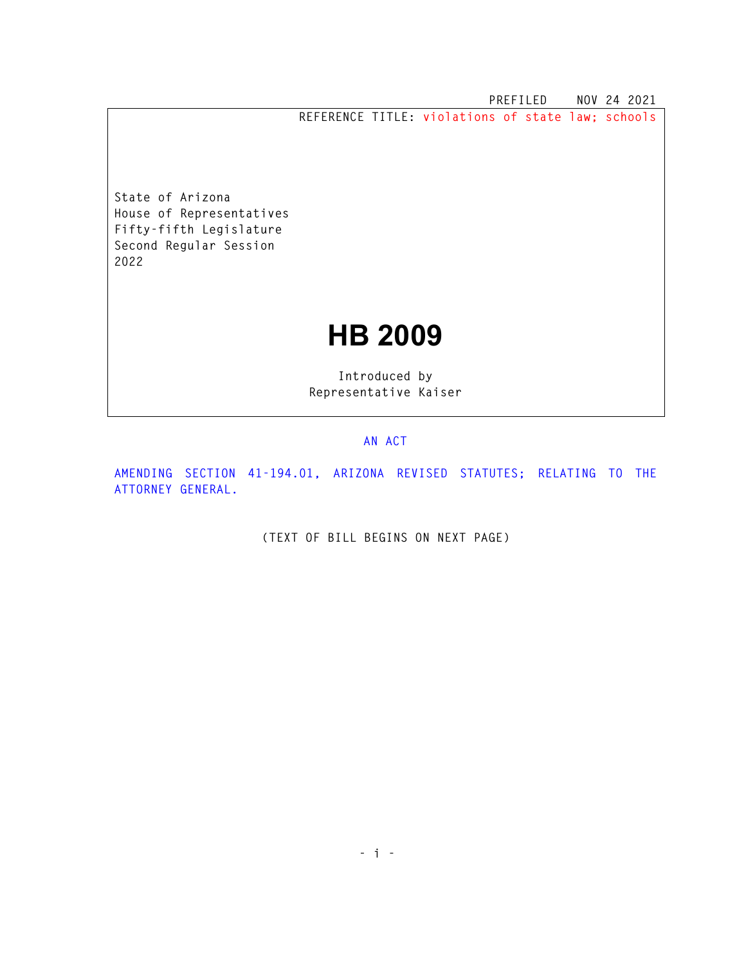**PREFILED NOV 24 2021 REFERENCE TITLE: violations of state law; schools** 

**State of Arizona House of Representatives Fifty-fifth Legislature Second Regular Session 2022** 

## **HB 2009**

**Introduced by Representative Kaiser** 

## **AN ACT**

**AMENDING SECTION 41-194.01, ARIZONA REVISED STATUTES; RELATING TO THE ATTORNEY GENERAL.** 

**(TEXT OF BILL BEGINS ON NEXT PAGE)**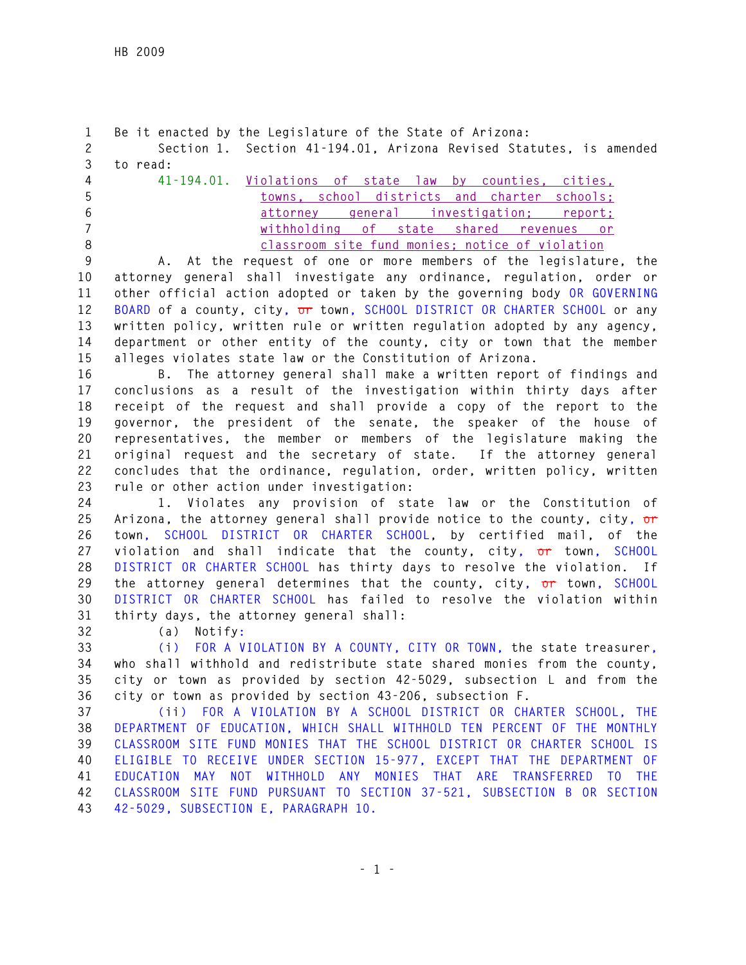```
1 Be it enacted by the Legislature of the State of Arizona: 
2 Section 1. Section 41-194.01, Arizona Revised Statutes, is amended 
3 to read: 
4 41-194.01. Violations of state law by counties, cities, 
5 towns, school districts and charter schools; 
6 attorney general investigation; report; 
7 withholding of state shared revenues or 
8 classroom site fund monies; notice of violation
```
**9 A. At the request of one or more members of the legislature, the 10 attorney general shall investigate any ordinance, regulation, order or 11 other official action adopted or taken by the governing body OR GOVERNING 12 BOARD of a county, city, or town, SCHOOL DISTRICT OR CHARTER SCHOOL or any 13 written policy, written rule or written regulation adopted by any agency, 14 department or other entity of the county, city or town that the member 15 alleges violates state law or the Constitution of Arizona.** 

**16 B. The attorney general shall make a written report of findings and 17 conclusions as a result of the investigation within thirty days after 18 receipt of the request and shall provide a copy of the report to the 19 governor, the president of the senate, the speaker of the house of 20 representatives, the member or members of the legislature making the 21 original request and the secretary of state. If the attorney general 22 concludes that the ordinance, regulation, order, written policy, written 23 rule or other action under investigation:** 

**24 1. Violates any provision of state law or the Constitution of 25 Arizona, the attorney general shall provide notice to the county, city, or 26 town, SCHOOL DISTRICT OR CHARTER SCHOOL, by certified mail, of the 27 violation and shall indicate that the county, city, or town, SCHOOL 28 DISTRICT OR CHARTER SCHOOL has thirty days to resolve the violation. If 29 the attorney general determines that the county, city, or town, SCHOOL 30 DISTRICT OR CHARTER SCHOOL has failed to resolve the violation within 31 thirty days, the attorney general shall:** 

**32 (a) Notify:** 

**33 (i) FOR A VIOLATION BY A COUNTY, CITY OR TOWN, the state treasurer, 34 who shall withhold and redistribute state shared monies from the county, 35 city or town as provided by section 42-5029, subsection L and from the 36 city or town as provided by section 43-206, subsection F.** 

**37 (ii) FOR A VIOLATION BY A SCHOOL DISTRICT OR CHARTER SCHOOL, THE 38 DEPARTMENT OF EDUCATION, WHICH SHALL WITHHOLD TEN PERCENT OF THE MONTHLY 39 CLASSROOM SITE FUND MONIES THAT THE SCHOOL DISTRICT OR CHARTER SCHOOL IS 40 ELIGIBLE TO RECEIVE UNDER SECTION 15-977, EXCEPT THAT THE DEPARTMENT OF 41 EDUCATION MAY NOT WITHHOLD ANY MONIES THAT ARE TRANSFERRED TO THE 42 CLASSROOM SITE FUND PURSUANT TO SECTION 37-521, SUBSECTION B OR SECTION 43 42-5029, SUBSECTION E, PARAGRAPH 10.**